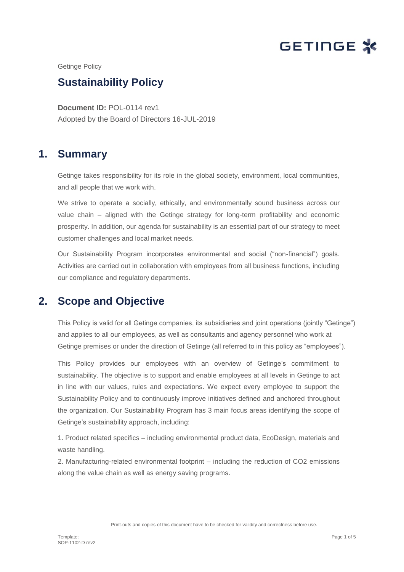

Getinge Policy

# **Sustainability Policy**

**Document ID:** POL-0114 rev1 Adopted by the Board of Directors 16-JUL-2019

### **1. Summary**

Getinge takes responsibility for its role in the global society, environment, local communities, and all people that we work with.

We strive to operate a socially, ethically, and environmentally sound business across our value chain – aligned with the Getinge strategy for long-term profitability and economic prosperity. In addition, our agenda for sustainability is an essential part of our strategy to meet customer challenges and local market needs.

Our Sustainability Program incorporates environmental and social ("non-financial") goals. Activities are carried out in collaboration with employees from all business functions, including our compliance and regulatory departments.

## **2. Scope and Objective**

This Policy is valid for all Getinge companies, its subsidiaries and joint operations (jointly "Getinge") and applies to all our employees, as well as consultants and agency personnel who work at Getinge premises or under the direction of Getinge (all referred to in this policy as "employees").

This Policy provides our employees with an overview of Getinge's commitment to sustainability. The objective is to support and enable employees at all levels in Getinge to act in line with our values, rules and expectations. We expect every employee to support the Sustainability Policy and to continuously improve initiatives defined and anchored throughout the organization. Our Sustainability Program has 3 main focus areas identifying the scope of Getinge's sustainability approach, including:

1. Product related specifics – including environmental product data, EcoDesign, materials and waste handling.

2. Manufacturing-related environmental footprint – including the reduction of CO2 emissions along the value chain as well as energy saving programs.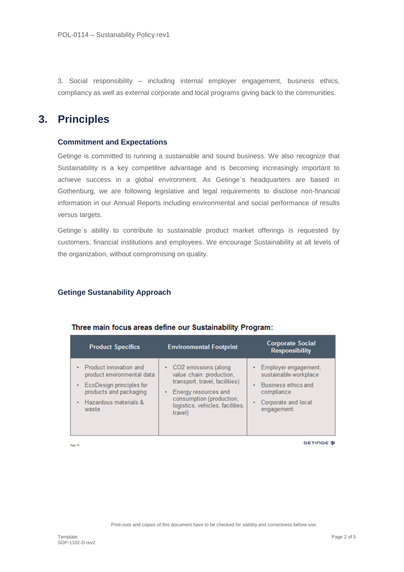3. Social responsibility – including internal employer engagement, business ethics, compliancy as well as external corporate and local programs giving back to the communities.

# **3. Principles**

#### **Commitment and Expectations**

Getinge is committed to running a sustainable and sound business. We also recognize that Sustainability is a key competitive advantage and is becoming increasingly important to achieve success in a global environment. As Getinge´s headquarters are based in Gothenburg, we are following legislative and legal requirements to disclose non-financial information in our Annual Reports including environmental and social performance of results versus targets.

Getinge´s ability to contribute to sustainable product market offerings is requested by customers, financial institutions and employees. We encourage Sustainability at all levels of the organization, without compromising on quality.

#### **Getinge Sustanability Approach**

| <b>Product Specifics</b>                                                                                                                                              | <b>Environmental Footprint</b>                                                                                                                                                               | <b>Corporate Social</b><br><b>Responsibility</b>                                                                                                 |
|-----------------------------------------------------------------------------------------------------------------------------------------------------------------------|----------------------------------------------------------------------------------------------------------------------------------------------------------------------------------------------|--------------------------------------------------------------------------------------------------------------------------------------------------|
| Product innovation and<br>٠<br>product environmental data<br>• EcoDesign principles for<br>products and packaging<br>Hazardous materials &<br>$\blacksquare$<br>waste | • CO2 emissions (along<br>value chain: production,<br>transport, travel, facilities)<br>Energy resources and<br>٠<br>consumption (production,<br>logistics, vehicles, facilities,<br>travel) | Employer engagement,<br>$\bullet$ .<br>sustainable workplace<br>Business ethics and<br>٠<br>compliance<br>Corporate and local<br>٠<br>engagement |

#### Three main focus areas define our Sustainability Program:

Page 78

GETINGE \*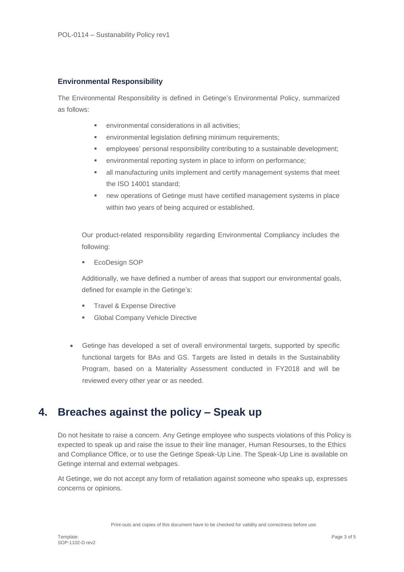### **Environmental Responsibility**

The Environmental Responsibility is defined in Getinge's Environmental Policy, summarized as follows:

- environmental considerations in all activities;
- environmental legislation defining minimum requirements;
- employees' personal responsibility contributing to a sustainable development;
- environmental reporting system in place to inform on performance;
- all manufacturing units implement and certify management systems that meet the ISO 14001 standard;
- new operations of Getinge must have certified management systems in place within two years of being acquired or established.

Our product-related responsibility regarding Environmental Compliancy includes the following:

**EcoDesign SOP** 

Additionally, we have defined a number of areas that support our environmental goals, defined for example in the Getinge's:

- **Travel & Expense Directive**
- **Global Company Vehicle Directive**
- Getinge has developed a set of overall environmental targets, supported by specific functional targets for BAs and GS. Targets are listed in details in the Sustainability Program, based on a Materiality Assessment conducted in FY2018 and will be reviewed every other year or as needed.

### **4. Breaches against the policy – Speak up**

Do not hesitate to raise a concern. Any Getinge employee who suspects violations of this Policy is expected to speak up and raise the issue to their line manager, Human Resourses, to the Ethics and Compliance Office, or to use the Getinge Speak-Up Line. The Speak-Up Line is available on Getinge internal and external webpages.

At Getinge, we do not accept any form of retaliation against someone who speaks up, expresses concerns or opinions.

Print-outs and copies of this document have to be checked for validity and correctness before use.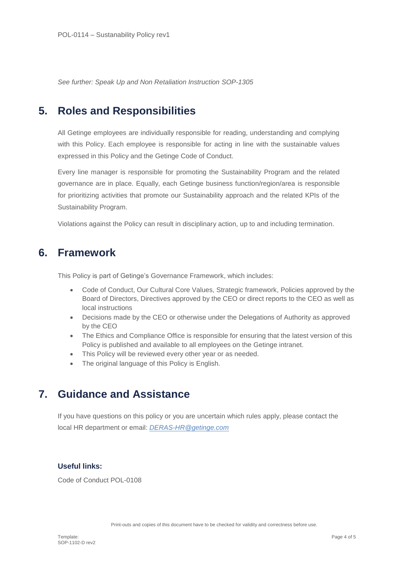*See further: Speak Up and Non Retaliation Instruction SOP-1305*

# **5. Roles and Responsibilities**

All Getinge employees are individually responsible for reading, understanding and complying with this Policy. Each employee is responsible for acting in line with the sustainable values expressed in this Policy and the Getinge Code of Conduct.

Every line manager is responsible for promoting the Sustainability Program and the related governance are in place. Equally, each Getinge business function/region/area is responsible for prioritizing activities that promote our Sustainability approach and the related KPIs of the Sustainability Program.

Violations against the Policy can result in disciplinary action, up to and including termination.

## **6. Framework**

This Policy is part of Getinge's Governance Framework, which includes:

- Code of Conduct, Our Cultural Core Values, Strategic framework, Policies approved by the Board of Directors, Directives approved by the CEO or direct reports to the CEO as well as local instructions
- Decisions made by the CEO or otherwise under the Delegations of Authority as approved by the CEO
- The Ethics and Compliance Office is responsible for ensuring that the latest version of this Policy is published and available to all employees on the Getinge intranet.
- This Policy will be reviewed every other year or as needed.
- The original language of this Policy is English.

### **7. Guidance and Assistance**

If you have questions on this policy or you are uncertain which rules apply, please contact the local HR department or email: *DERAS-HR@getinge.com*

### **Useful links:**

Code of Conduct POL-0108